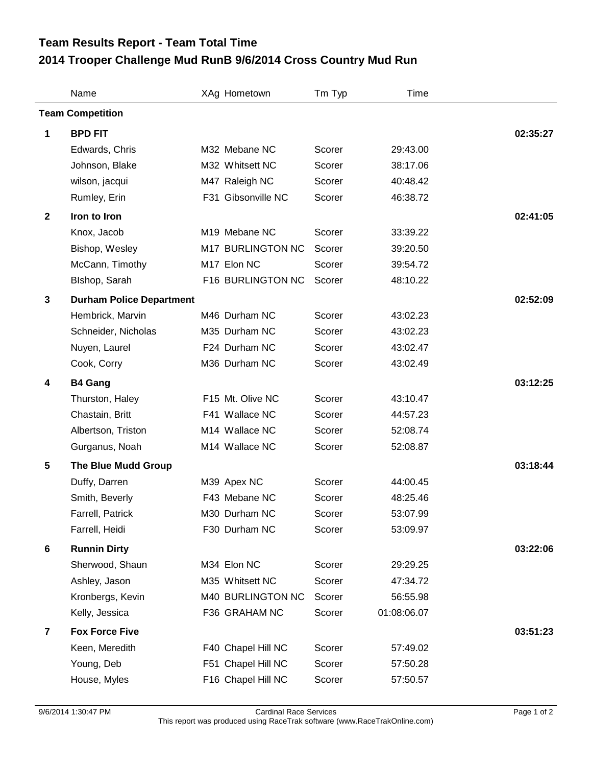## **Team Results Report - Team Total Time**

## **2014 Trooper Challenge Mud RunB 9/6/2014 Cross Country Mud Run**

|                         | Name                            |  | XAg Hometown       | Tm Typ | Time        |          |  |  |
|-------------------------|---------------------------------|--|--------------------|--------|-------------|----------|--|--|
| <b>Team Competition</b> |                                 |  |                    |        |             |          |  |  |
| 1                       | <b>BPD FIT</b>                  |  |                    |        |             | 02:35:27 |  |  |
|                         | Edwards, Chris                  |  | M32 Mebane NC      | Scorer | 29:43.00    |          |  |  |
|                         | Johnson, Blake                  |  | M32 Whitsett NC    | Scorer | 38:17.06    |          |  |  |
|                         | wilson, jacqui                  |  | M47 Raleigh NC     | Scorer | 40:48.42    |          |  |  |
|                         | Rumley, Erin                    |  | F31 Gibsonville NC | Scorer | 46:38.72    |          |  |  |
| $\mathbf{2}$            | Iron to Iron                    |  |                    |        |             | 02:41:05 |  |  |
|                         | Knox, Jacob                     |  | M19 Mebane NC      | Scorer | 33:39.22    |          |  |  |
|                         | Bishop, Wesley                  |  | M17 BURLINGTON NC  | Scorer | 39:20.50    |          |  |  |
|                         | McCann, Timothy                 |  | M17 Elon NC        | Scorer | 39:54.72    |          |  |  |
|                         | Blshop, Sarah                   |  | F16 BURLINGTON NC  | Scorer | 48:10.22    |          |  |  |
| $\mathbf{3}$            | <b>Durham Police Department</b> |  |                    |        |             | 02:52:09 |  |  |
|                         | Hembrick, Marvin                |  | M46 Durham NC      | Scorer | 43:02.23    |          |  |  |
|                         | Schneider, Nicholas             |  | M35 Durham NC      | Scorer | 43:02.23    |          |  |  |
|                         | Nuyen, Laurel                   |  | F24 Durham NC      | Scorer | 43:02.47    |          |  |  |
|                         | Cook, Corry                     |  | M36 Durham NC      | Scorer | 43:02.49    |          |  |  |
| 4                       | <b>B4 Gang</b>                  |  |                    |        |             | 03:12:25 |  |  |
|                         | Thurston, Haley                 |  | F15 Mt. Olive NC   | Scorer | 43:10.47    |          |  |  |
|                         | Chastain, Britt                 |  | F41 Wallace NC     | Scorer | 44:57.23    |          |  |  |
|                         | Albertson, Triston              |  | M14 Wallace NC     | Scorer | 52:08.74    |          |  |  |
|                         | Gurganus, Noah                  |  | M14 Wallace NC     | Scorer | 52:08.87    |          |  |  |
| $\sqrt{5}$              | <b>The Blue Mudd Group</b>      |  |                    |        |             | 03:18:44 |  |  |
|                         | Duffy, Darren                   |  | M39 Apex NC        | Scorer | 44:00.45    |          |  |  |
|                         | Smith, Beverly                  |  | F43 Mebane NC      | Scorer | 48:25.46    |          |  |  |
|                         | Farrell, Patrick                |  | M30 Durham NC      | Scorer | 53:07.99    |          |  |  |
|                         | Farrell, Heidi                  |  | F30 Durham NC      | Scorer | 53:09.97    |          |  |  |
| $6\phantom{1}6$         | <b>Runnin Dirty</b>             |  |                    |        |             | 03:22:06 |  |  |
|                         | Sherwood, Shaun                 |  | M34 Elon NC        | Scorer | 29:29.25    |          |  |  |
|                         | Ashley, Jason                   |  | M35 Whitsett NC    | Scorer | 47:34.72    |          |  |  |
|                         | Kronbergs, Kevin                |  | M40 BURLINGTON NC  | Scorer | 56:55.98    |          |  |  |
|                         | Kelly, Jessica                  |  | F36 GRAHAM NC      | Scorer | 01:08:06.07 |          |  |  |
| $\overline{\mathbf{r}}$ | <b>Fox Force Five</b>           |  |                    |        |             | 03:51:23 |  |  |
|                         | Keen, Meredith                  |  | F40 Chapel Hill NC | Scorer | 57:49.02    |          |  |  |
|                         | Young, Deb                      |  | F51 Chapel Hill NC | Scorer | 57:50.28    |          |  |  |
|                         | House, Myles                    |  | F16 Chapel Hill NC | Scorer | 57:50.57    |          |  |  |